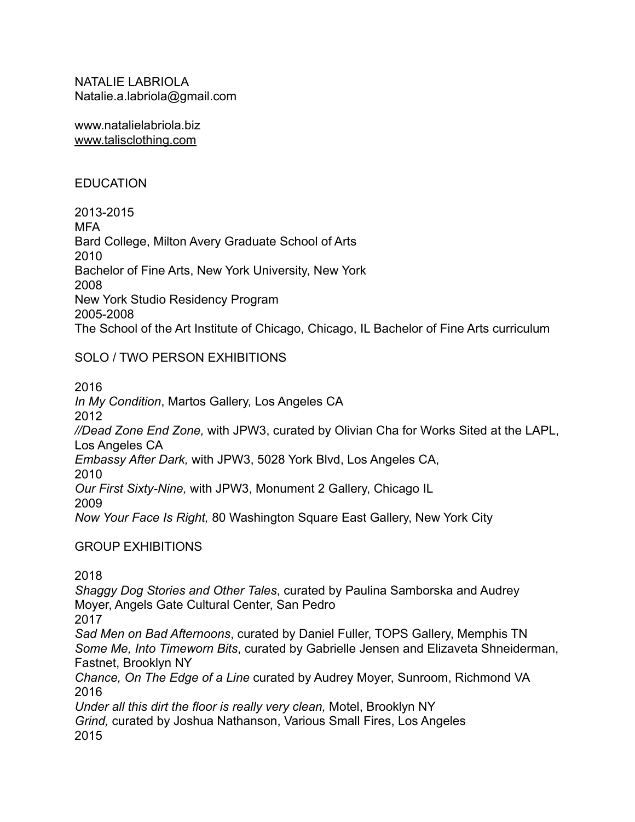NATALIE LABRIOLA Natalie.a.labriola@gmail.com

www.natalielabriola.biz [www.talisclothing.com](http://www.talisclothing.com)

#### **EDUCATION**

2013-2015 MFA Bard College, Milton Avery Graduate School of Arts 2010 Bachelor of Fine Arts, New York University, New York 2008 New York Studio Residency Program 2005-2008 The School of the Art Institute of Chicago, Chicago, IL Bachelor of Fine Arts curriculum

### SOLO / TWO PERSON EXHIBITIONS

2016 *In My Condition*, Martos Gallery, Los Angeles CA 2012 *//Dead Zone End Zone,* with JPW3, curated by Olivian Cha for Works Sited at the LAPL, Los Angeles CA *Embassy After Dark,* with JPW3, 5028 York Blvd, Los Angeles CA, 2010 *Our First Sixty-Nine,* with JPW3, Monument 2 Gallery, Chicago IL 2009 *Now Your Face Is Right,* 80 Washington Square East Gallery, New York City

# GROUP EXHIBITIONS

2018

*Shaggy Dog Stories and Other Tales*, curated by Paulina Samborska and Audrey Moyer, Angels Gate Cultural Center, San Pedro 2017 *Sad Men on Bad Afternoons*, curated by Daniel Fuller, TOPS Gallery, Memphis TN *Some Me, Into Timeworn Bits*, curated by Gabrielle Jensen and Elizaveta Shneiderman, Fastnet, Brooklyn NY *Chance, On The Edge of a Line* curated by Audrey Moyer, Sunroom, Richmond VA 2016

*Under all this dirt the floor is really very clean,* Motel, Brooklyn NY *Grind,* curated by Joshua Nathanson, Various Small Fires, Los Angeles 2015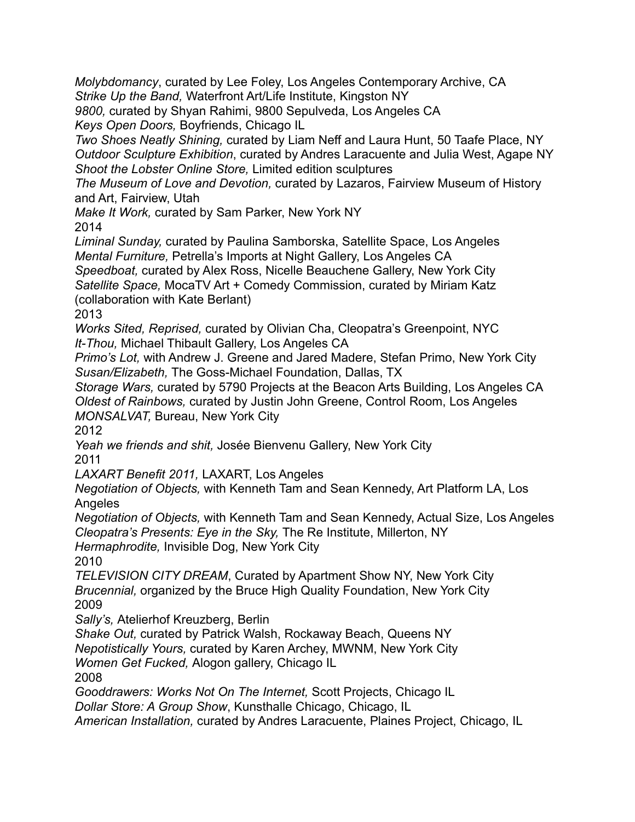*Molybdomancy*, curated by Lee Foley, Los Angeles Contemporary Archive, CA *Strike Up the Band,* Waterfront Art/Life Institute, Kingston NY

*9800,* curated by Shyan Rahimi, 9800 Sepulveda, Los Angeles CA *Keys Open Doors,* Boyfriends, Chicago IL

*Two Shoes Neatly Shining,* curated by Liam Neff and Laura Hunt, 50 Taafe Place, NY *Outdoor Sculpture Exhibition*, curated by Andres Laracuente and Julia West, Agape NY *Shoot the Lobster Online Store,* Limited edition sculptures

*The Museum of Love and Devotion,* curated by Lazaros, Fairview Museum of History and Art, Fairview, Utah

*Make It Work,* curated by Sam Parker, New York NY 2014

*Liminal Sunday,* curated by Paulina Samborska, Satellite Space, Los Angeles *Mental Furniture,* Petrella's Imports at Night Gallery, Los Angeles CA

*Speedboat,* curated by Alex Ross, Nicelle Beauchene Gallery, New York City *Satellite Space,* MocaTV Art + Comedy Commission, curated by Miriam Katz

(collaboration with Kate Berlant)

2013

*Works Sited, Reprised,* curated by Olivian Cha, Cleopatra's Greenpoint, NYC *It-Thou,* Michael Thibault Gallery, Los Angeles CA

*Primo's Lot,* with Andrew J. Greene and Jared Madere, Stefan Primo, New York City *Susan/Elizabeth,* The Goss-Michael Foundation, Dallas, TX

*Storage Wars,* curated by 5790 Projects at the Beacon Arts Building, Los Angeles CA *Oldest of Rainbows,* curated by Justin John Greene, Control Room, Los Angeles *MONSALVAT,* Bureau, New York City

2012

*Yeah we friends and shit,* Josée Bienvenu Gallery, New York City 2011

*LAXART Benefit 2011,* LAXART, Los Angeles

*Negotiation of Objects,* with Kenneth Tam and Sean Kennedy, Art Platform LA, Los Angeles

*Negotiation of Objects,* with Kenneth Tam and Sean Kennedy, Actual Size, Los Angeles *Cleopatra's Presents: Eye in the Sky,* The Re Institute, Millerton, NY

*Hermaphrodite,* Invisible Dog, New York City

2010

*TELEVISION CITY DREAM*, Curated by Apartment Show NY, New York City *Brucennial,* organized by the Bruce High Quality Foundation, New York City 2009

*Sally's,* Atelierhof Kreuzberg, Berlin

*Shake Out,* curated by Patrick Walsh, Rockaway Beach, Queens NY

*Nepotistically Yours,* curated by Karen Archey, MWNM, New York City

*Women Get Fucked,* Alogon gallery, Chicago IL

2008

*Gooddrawers: Works Not On The Internet,* Scott Projects, Chicago IL

*Dollar Store: A Group Show*, Kunsthalle Chicago, Chicago, IL

*American Installation,* curated by Andres Laracuente, Plaines Project, Chicago, IL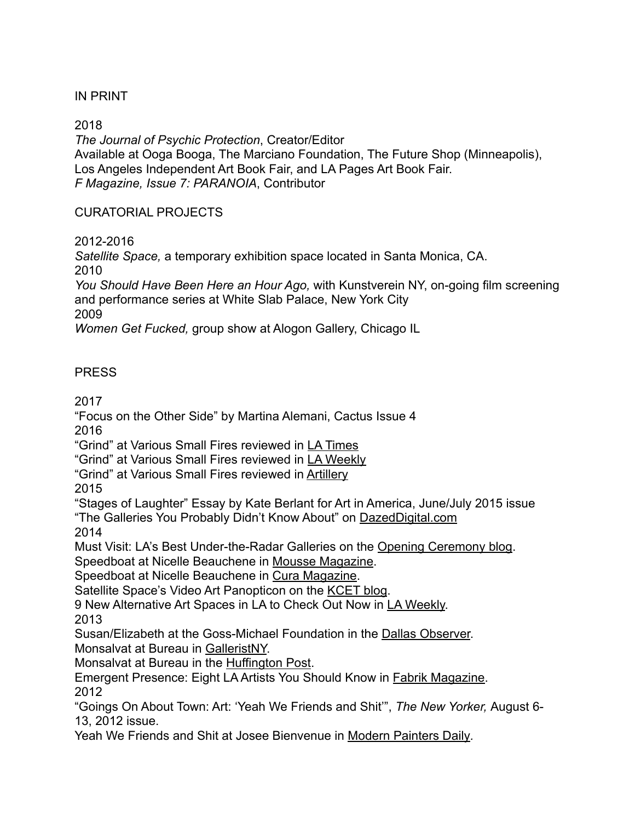# IN PRINT

2018

*The Journal of Psychic Protection*, Creator/Editor Available at Ooga Booga, The Marciano Foundation, The Future Shop (Minneapolis), Los Angeles Independent Art Book Fair, and LA Pages Art Book Fair. *F Magazine, Issue 7: PARANOIA*, Contributor

## CURATORIAL PROJECTS

2012-2016

*Satellite Space,* a temporary exhibition space located in Santa Monica, CA. 2010

*You Should Have Been Here an Hour Ago,* with Kunstverein NY, on-going film screening and performance series at White Slab Palace, New York City 2009

*Women Get Fucked,* group show at Alogon Gallery, Chicago IL

# **PRESS**

2017

"Focus on the Other Side" by Martina Alemani, Cactus Issue 4 2016

"Grind" at Various Small Fires reviewed in [LA Times](http://www.latimes.com/entertainment/arts/la-et-cm-grind-vsf-20160809-snap-story.html)

"Grind" at Various Small Fires reviewed in [LA Weekly](http://www.laweekly.com/arts/5-free-art-shows-to-see-in-la-this-week-7192385)

"Grind" at Various Small Fires reviewed in [Artillery](http://artillerymag.com/grind/)

2015

"Stages of Laughter" Essay by Kate Berlant for Art in America, June/July 2015 issue "The Galleries You Probably Didn't Know About" on [DazedDigital.com](http://www.dazeddigital.com/artsandculture/article/23772/1/the-galleries-you-probably-didn-t-know-about) 2014

Must Visit: LA's Best Under-the-Radar Galleries on the [Opening Ceremony blog](http://www.openingceremony.us/entry.asp?pid=9930). Speedboat at Nicelle Beauchene in [Mousse Magazine](http://moussemagazine.it/speedboat-nicelle-beauchene-2014/).

Speedboat at Nicelle Beauchene in [Cura Magazine](http://www.curamagazine.com/?p=15586).

Satellite Space's Video Art Panopticon on the [KCET blog.](http://www.kcet.org/arts/artbound/counties/los-angeles/satellite-space-natalie-labriola.html)

9 New Alternative Art Spaces in LA to Check Out Now in [LA Weekly.](http://www.laweekly.com/arts/9-new-alternative-art-spaces-in-la-to-check-out-now-4487884) 2013

Susan/Elizabeth at the Goss-Michael Foundation in the [Dallas Observer.](http://www.dallasobserver.com/arts/wo-manorial-explores-the-feminine-mystique-with-susan-elizabeth-7094322) Monsalvat at Bureau in [GalleristNY.](http://observer.com/2013/01/monsalvat-at-bureau/)

Monsalvat at Bureau in the [Huffington Post.](http://www.huffingtonpost.com/filip-noterdaeme/monsalvat-at-bureau_b_2517652.html)

Emergent Presence: Eight LA Artists You Should Know in [Fabrik Magazine.](http://issuu.com/fabrik/docs/fabrik19) 2012

"Goings On About Town: Art: 'Yeah We Friends and Shit'", *The New Yorker,* August 6- 13, 2012 issue.

Yeah We Friends and Shit at Josee Bienvenue in [Modern Painters Daily](http://blogs.artinfo.com/modernpaintersdaily/2012/08/07/yeah-we-friends-and-shit/)*.*